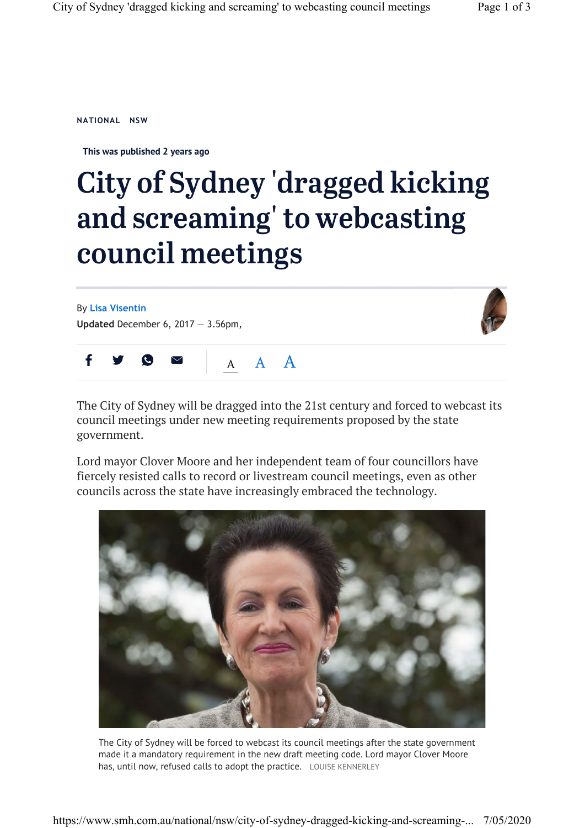**This was published 2 years ago**

## City of Sydney 'dragged kicking and screaming' to webcasting council meetings

By **Lisa Visentin Updated** December 6, 2017 — 3.56pm,





The City of Sydney will be dragged into the 21st century and forced to webcast its council meetings under new meeting requirements proposed by the state government.

Lord mayor Clover Moore and her independent team of four councillors have fiercely resisted calls to record or livestream council meetings, even as other councils across the state have increasingly embraced the technology.



The City of Sydney will be forced to webcast its council meetings after the state government made it a mandatory requirement in the new draft meeting code. Lord mayor Clover Moore has, until now, refused calls to adopt the practice. LOUISE KENNERLEY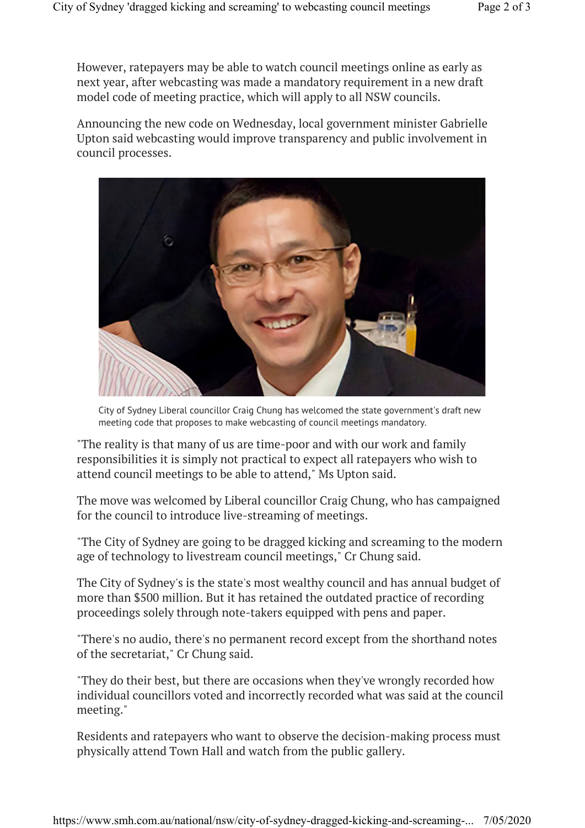However, ratepayers may be able to watch council meetings online as early as next year, after webcasting was made a mandatory requirement in a new draft model code of meeting practice, which will apply to all NSW councils.

Announcing the new code on Wednesday, local government minister Gabrielle Upton said webcasting would improve transparency and public involvement in council processes.



City of Sydney Liberal councillor Craig Chung has welcomed the state government's draft new meeting code that proposes to make webcasting of council meetings mandatory.

"The reality is that many of us are time-poor and with our work and family responsibilities it is simply not practical to expect all ratepayers who wish to attend council meetings to be able to attend," Ms Upton said.

The move was welcomed by Liberal councillor Craig Chung, who has campaigned for the council to introduce live-streaming of meetings.

"The City of Sydney are going to be dragged kicking and screaming to the modern age of technology to livestream council meetings," Cr Chung said.

The City of Sydney's is the state's most wealthy council and has annual budget of more than \$500 million. But it has retained the outdated practice of recording proceedings solely through note-takers equipped with pens and paper.

"There's no audio, there's no permanent record except from the shorthand notes of the secretariat," Cr Chung said.

"They do their best, but there are occasions when they've wrongly recorded how individual councillors voted and incorrectly recorded what was said at the council meeting."

Residents and ratepayers who want to observe the decision-making process must physically attend Town Hall and watch from the public gallery.